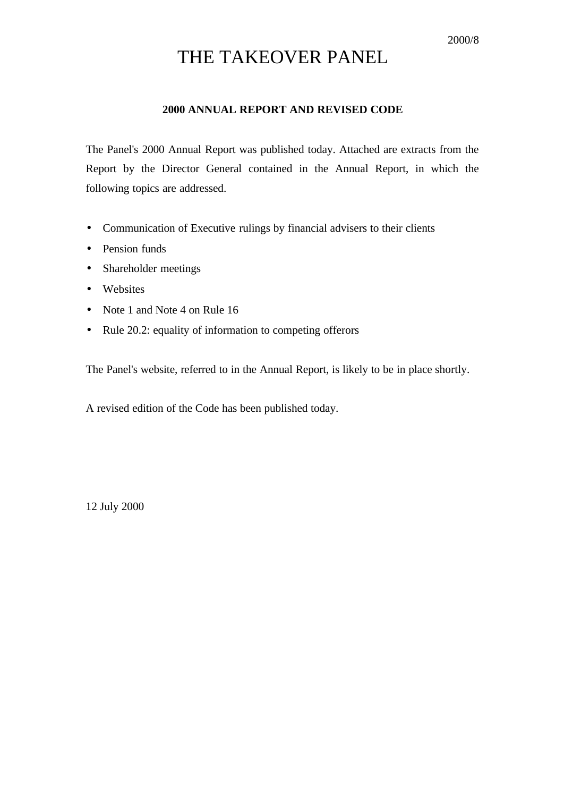# THE TAKEOVER PANEL

### **2000 ANNUAL REPORT AND REVISED CODE**

The Panel's 2000 Annual Report was published today. Attached are extracts from the Report by the Director General contained in the Annual Report, in which the following topics are addressed.

- Communication of Executive rulings by financial advisers to their clients
- Pension funds
- Shareholder meetings
- Websites
- Note 1 and Note 4 on Rule 16
- Rule 20.2: equality of information to competing offerors

The Panel's website, referred to in the Annual Report, is likely to be in place shortly.

A revised edition of the Code has been published today.

12 July 2000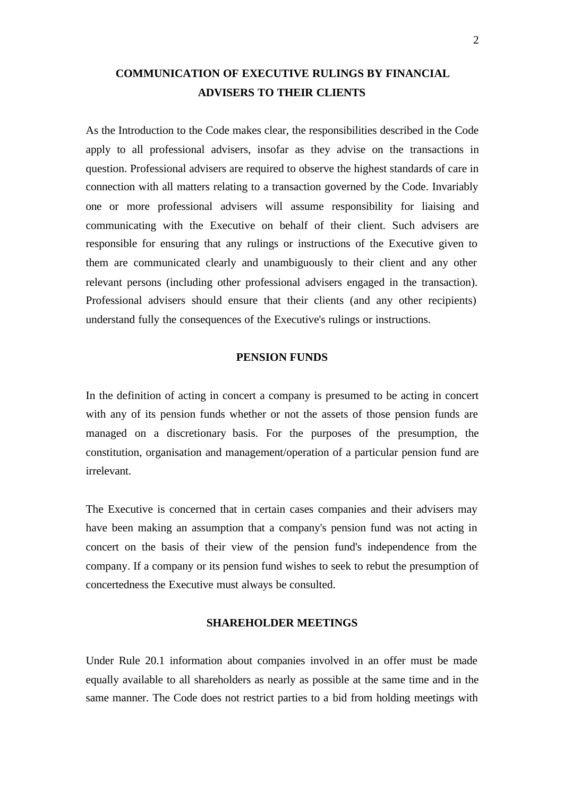# **COMMUNICATION OF EXECUTIVE RULINGS BY FINANCIAL ADVISERS TO THEIR CLIENTS**

As the Introduction to the Code makes clear, the responsibilities described in the Code apply to all professional advisers, insofar as they advise on the transactions in question. Professional advisers are required to observe the highest standards of care in connection with all matters relating to a transaction governed by the Code. Invariably one or more professional advisers will assume responsibility for liaising and communicating with the Executive on behalf of their client. Such advisers are responsible for ensuring that any rulings or instructions of the Executive given to them are communicated clearly and unambiguously to their client and any other relevant persons (including other professional advisers engaged in the transaction). Professional advisers should ensure that their clients (and any other recipients) understand fully the consequences of the Executive's rulings or instructions.

#### **PENSION FUNDS**

In the definition of acting in concert a company is presumed to be acting in concert with any of its pension funds whether or not the assets of those pension funds are managed on a discretionary basis. For the purposes of the presumption, the constitution, organisation and management/operation of a particular pension fund are irrelevant.

The Executive is concerned that in certain cases companies and their advisers may have been making an assumption that a company's pension fund was not acting in concert on the basis of their view of the pension fund's independence from the company. If a company or its pension fund wishes to seek to rebut the presumption of concertedness the Executive must always be consulted.

#### **SHAREHOLDER MEETINGS**

Under Rule 20.1 information about companies involved in an offer must be made equally available to all shareholders as nearly as possible at the same time and in the same manner. The Code does not restrict parties to a bid from holding meetings with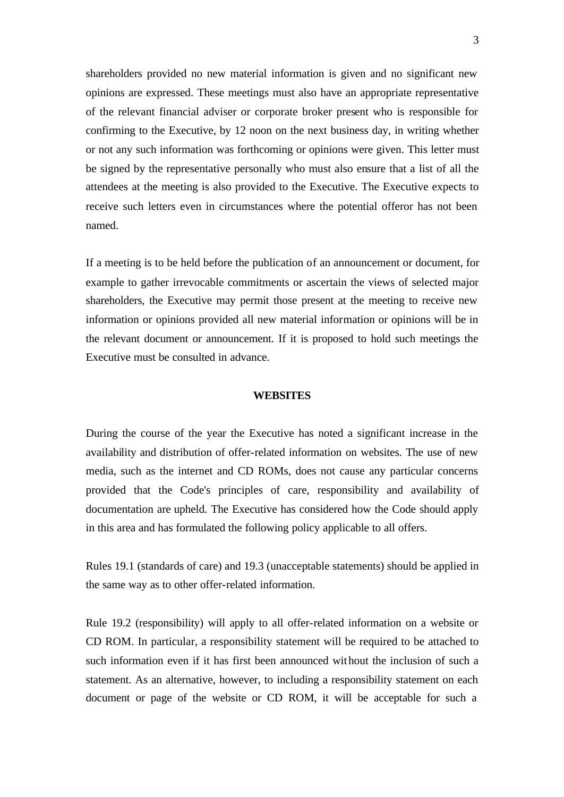shareholders provided no new material information is given and no significant new opinions are expressed. These meetings must also have an appropriate representative of the relevant financial adviser or corporate broker present who is responsible for confirming to the Executive, by 12 noon on the next business day, in writing whether or not any such information was forthcoming or opinions were given. This letter must be signed by the representative personally who must also ensure that a list of all the attendees at the meeting is also provided to the Executive. The Executive expects to receive such letters even in circumstances where the potential offeror has not been named.

If a meeting is to be held before the publication of an announcement or document, for example to gather irrevocable commitments or ascertain the views of selected major shareholders, the Executive may permit those present at the meeting to receive new information or opinions provided all new material information or opinions will be in the relevant document or announcement. If it is proposed to hold such meetings the Executive must be consulted in advance.

#### **WEBSITES**

During the course of the year the Executive has noted a significant increase in the availability and distribution of offer-related information on websites. The use of new media, such as the internet and CD ROMs, does not cause any particular concerns provided that the Code's principles of care, responsibility and availability of documentation are upheld. The Executive has considered how the Code should apply in this area and has formulated the following policy applicable to all offers.

Rules 19.1 (standards of care) and 19.3 (unacceptable statements) should be applied in the same way as to other offer-related information.

Rule 19.2 (responsibility) will apply to all offer-related information on a website or CD ROM. In particular, a responsibility statement will be required to be attached to such information even if it has first been announced without the inclusion of such a statement. As an alternative, however, to including a responsibility statement on each document or page of the website or CD ROM, it will be acceptable for such a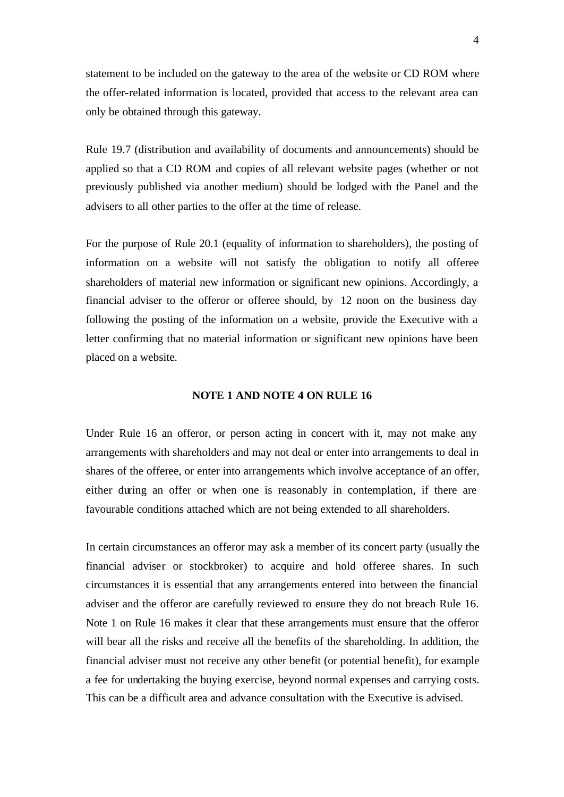statement to be included on the gateway to the area of the website or CD ROM where the offer-related information is located, provided that access to the relevant area can only be obtained through this gateway.

Rule 19.7 (distribution and availability of documents and announcements) should be applied so that a CD ROM and copies of all relevant website pages (whether or not previously published via another medium) should be lodged with the Panel and the advisers to all other parties to the offer at the time of release.

For the purpose of Rule 20.1 (equality of information to shareholders), the posting of information on a website will not satisfy the obligation to notify all offeree shareholders of material new information or significant new opinions. Accordingly, a financial adviser to the offeror or offeree should, by 12 noon on the business day following the posting of the information on a website, provide the Executive with a letter confirming that no material information or significant new opinions have been placed on a website.

#### **NOTE 1 AND NOTE 4 ON RULE 16**

Under Rule 16 an offeror, or person acting in concert with it, may not make any arrangements with shareholders and may not deal or enter into arrangements to deal in shares of the offeree, or enter into arrangements which involve acceptance of an offer, either during an offer or when one is reasonably in contemplation, if there are favourable conditions attached which are not being extended to all shareholders.

In certain circumstances an offeror may ask a member of its concert party (usually the financial adviser or stockbroker) to acquire and hold offeree shares. In such circumstances it is essential that any arrangements entered into between the financial adviser and the offeror are carefully reviewed to ensure they do not breach Rule 16. Note 1 on Rule 16 makes it clear that these arrangements must ensure that the offeror will bear all the risks and receive all the benefits of the shareholding. In addition, the financial adviser must not receive any other benefit (or potential benefit), for example a fee for undertaking the buying exercise, beyond normal expenses and carrying costs. This can be a difficult area and advance consultation with the Executive is advised.